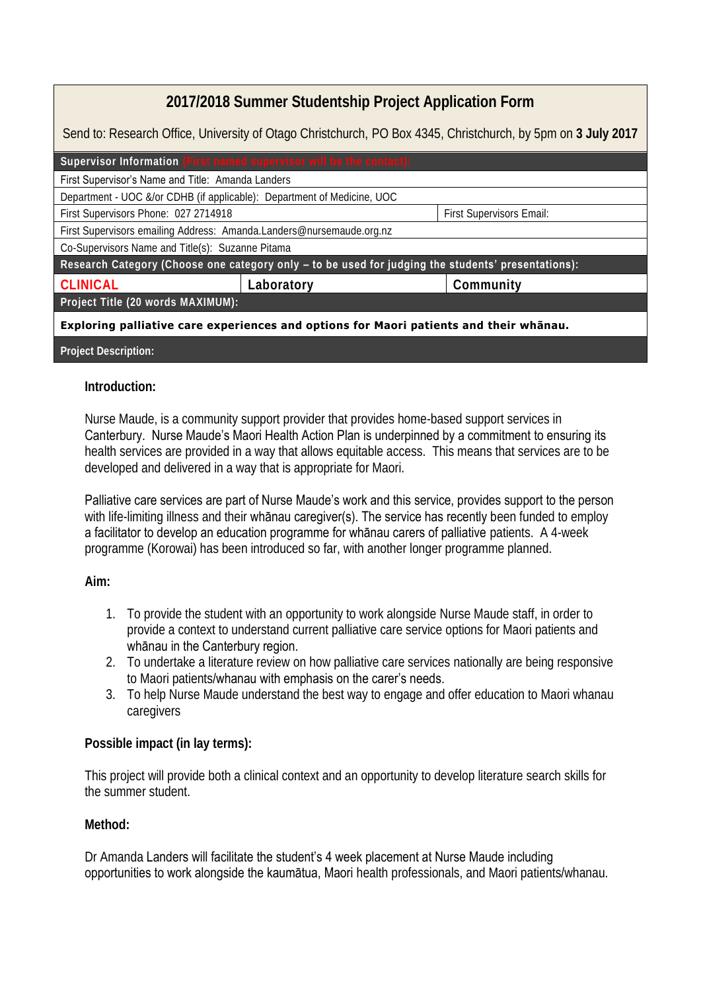## **2017/2018 Summer Studentship Project Application Form**

Send to: Research Office, University of Otago Christchurch, PO Box 4345, Christchurch, by 5pm on **3 July 2017**

| Supervisor Information (First named supervisor will be the contact):                               |            |                          |
|----------------------------------------------------------------------------------------------------|------------|--------------------------|
| First Supervisor's Name and Title: Amanda Landers                                                  |            |                          |
| Department - UOC &/or CDHB (if applicable): Department of Medicine, UOC                            |            |                          |
| First Supervisors Phone: 027 2714918                                                               |            | First Supervisors Email: |
| First Supervisors emailing Address: Amanda.Landers@nursemaude.org.nz                               |            |                          |
| Co-Supervisors Name and Title(s): Suzanne Pitama                                                   |            |                          |
| Research Category (Choose one category only - to be used for judging the students' presentations): |            |                          |
| CLINICAL                                                                                           | Laboratory | Community                |
| Project Title (20 words MAXIMUM):                                                                  |            |                          |
| Exploring palliative care experiences and options for Maori patients and their whānau.             |            |                          |
|                                                                                                    |            |                          |

## **Project Description:**

## **Introduction:**

Nurse Maude, is a community support provider that provides home-based support services in Canterbury. Nurse Maude's Maori Health Action Plan is underpinned by a commitment to ensuring its health services are provided in a way that allows equitable access. This means that services are to be developed and delivered in a way that is appropriate for Maori.

Palliative care services are part of Nurse Maude's work and this service, provides support to the person with life-limiting illness and their whanau caregiver(s). The service has recently been funded to employ a facilitator to develop an education programme for whānau carers of palliative patients. A 4-week programme (Korowai) has been introduced so far, with another longer programme planned.

**Aim:** 

- 1. To provide the student with an opportunity to work alongside Nurse Maude staff, in order to provide a context to understand current palliative care service options for Maori patients and whānau in the Canterbury region.
- 2. To undertake a literature review on how palliative care services nationally are being responsive to Maori patients/whanau with emphasis on the carer's needs.
- 3. To help Nurse Maude understand the best way to engage and offer education to Maori whanau caregivers

**Possible impact (in lay terms):** 

This project will provide both a clinical context and an opportunity to develop literature search skills for the summer student.

**Method:** 

Dr Amanda Landers will facilitate the student's 4 week placement at Nurse Maude including opportunities to work alongside the kaumātua, Maori health professionals, and Maori patients/whanau.